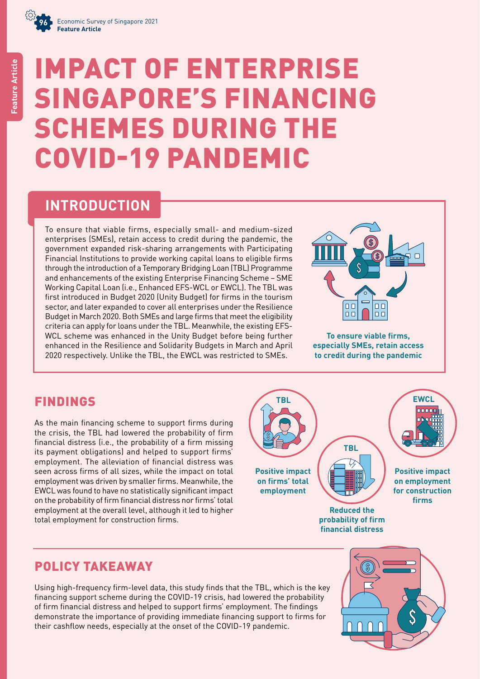

# IMPACT OF ENTERPRISE SINGAPORE'S FINANCING SCHEMES DURING THE COVID-19 PANDEMIC

**INTRODUCTION**

To ensure that viable firms, especially small- and medium-sized enterprises (SMEs), retain access to credit during the pandemic, the government expanded risk-sharing arrangements with Participating Financial Institutions to provide working capital loans to eligible firms through the introduction of a Temporary Bridging Loan (TBL) Programme and enhancements of the existing Enterprise Financing Scheme – SME Working Capital Loan (i.e., Enhanced EFS-WCL or EWCL). The TBL was first introduced in Budget 2020 (Unity Budget) for firms in the tourism sector, and later expanded to cover all enterprises under the Resilience Budget in March 2020. Both SMEs and large firms that meet the eligibility criteria can apply for loans under the TBL. Meanwhile, the existing EFS-WCL scheme was enhanced in the Unity Budget before being further enhanced in the Resilience and Solidarity Budgets in March and April 2020 respectively. Unlike the TBL, the EWCL was restricted to SMEs.



**To ensure viable firms, especially SMEs, retain access to credit during the pandemic**

# FINDINGS

As the main financing scheme to support firms during the crisis, the TBL had lowered the probability of firm financial distress (i.e., the probability of a firm missing its payment obligations) and helped to support firms' employment. The alleviation of financial distress was seen across firms of all sizes, while the impact on total employment was driven by smaller firms. Meanwhile, the EWCL was found to have no statistically significant impact on the probability of firm financial distress nor firms' total employment at the overall level, although it led to higher total employment for construction firms.



# POLICY TAKEAWAY

Using high-frequency firm-level data, this study finds that the TBL, which is the key financing support scheme during the COVID-19 crisis, had lowered the probability of firm financial distress and helped to support firms' employment. The findings demonstrate the importance of providing immediate financing support to firms for their cashflow needs, especially at the onset of the COVID-19 pandemic.

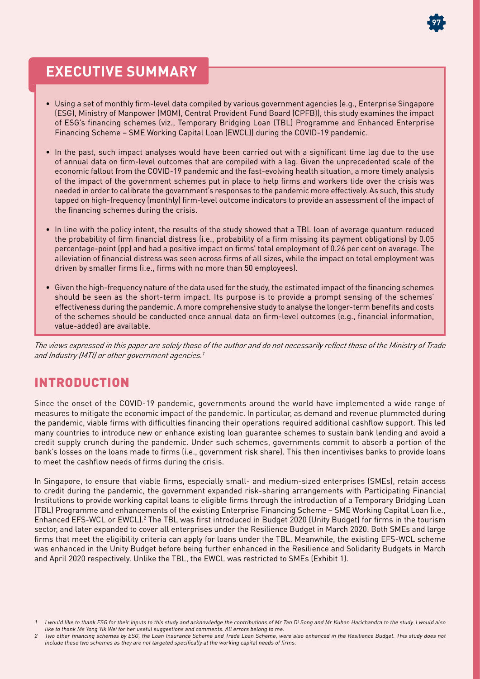

# **EXECUTIVE SUMMARY**

- Using a set of monthly firm-level data compiled by various government agencies (e.g., Enterprise Singapore (ESG), Ministry of Manpower (MOM), Central Provident Fund Board (CPFB)), this study examines the impact of ESG's financing schemes (viz., Temporary Bridging Loan (TBL) Programme and Enhanced Enterprise Financing Scheme – SME Working Capital Loan (EWCL)) during the COVID-19 pandemic.
- In the past, such impact analyses would have been carried out with a significant time lag due to the use of annual data on firm-level outcomes that are compiled with a lag. Given the unprecedented scale of the economic fallout from the COVID-19 pandemic and the fast-evolving health situation, a more timely analysis of the impact of the government schemes put in place to help firms and workers tide over the crisis was needed in order to calibrate the government's responses to the pandemic more effectively. As such, this study tapped on high-frequency (monthly) firm-level outcome indicators to provide an assessment of the impact of the financing schemes during the crisis.
- In line with the policy intent, the results of the study showed that a TBL loan of average quantum reduced the probability of firm financial distress (i.e., probability of a firm missing its payment obligations) by 0.05 percentage-point (pp) and had a positive impact on firms' total employment of 0.26 per cent on average. The alleviation of financial distress was seen across firms of all sizes, while the impact on total employment was driven by smaller firms (i.e., firms with no more than 50 employees).
- Given the high-frequency nature of the data used for the study, the estimated impact of the financing schemes should be seen as the short-term impact. Its purpose is to provide a prompt sensing of the schemes' effectiveness during the pandemic. A more comprehensive study to analyse the longer-term benefits and costs of the schemes should be conducted once annual data on firm-level outcomes (e.g., financial information, value-added) are available.

*The views expressed in this paper are solely those of the author and do not necessarily reflect those of the Ministry of Trade and Industry (MTI) or other government agencies.<sup>1</sup>* 

## INTRODUCTION

Since the onset of the COVID-19 pandemic, governments around the world have implemented a wide range of measures to mitigate the economic impact of the pandemic. In particular, as demand and revenue plummeted during the pandemic, viable firms with difficulties financing their operations required additional cashflow support. This led many countries to introduce new or enhance existing loan guarantee schemes to sustain bank lending and avoid a credit supply crunch during the pandemic. Under such schemes, governments commit to absorb a portion of the bank's losses on the loans made to firms (i.e., government risk share). This then incentivises banks to provide loans to meet the cashflow needs of firms during the crisis.

In Singapore, to ensure that viable firms, especially small- and medium-sized enterprises (SMEs), retain access to credit during the pandemic, the government expanded risk-sharing arrangements with Participating Financial Institutions to provide working capital loans to eligible firms through the introduction of a Temporary Bridging Loan (TBL) Programme and enhancements of the existing Enterprise Financing Scheme – SME Working Capital Loan (i.e., Enhanced EFS-WCL or EWCL).<sup>2</sup> The TBL was first introduced in Budget 2020 (Unity Budget) for firms in the tourism sector, and later expanded to cover all enterprises under the Resilience Budget in March 2020. Both SMEs and large firms that meet the eligibility criteria can apply for loans under the TBL. Meanwhile, the existing EFS-WCL scheme was enhanced in the Unity Budget before being further enhanced in the Resilience and Solidarity Budgets in March and April 2020 respectively. Unlike the TBL, the EWCL was restricted to SMEs (Exhibit 1).

I would like to thank ESG for their inputs to this study and acknowledge the contributions of Mr Tan Di Song and Mr Kuhan Harichandra to the study. I would also like to thank Ms Yong Yik Wei for her useful suggestions and comments. All errors belong to me.

<sup>2</sup> Two other financing schemes by ESG, the Loan Insurance Scheme and Trade Loan Scheme, were also enhanced in the Resilience Budget. This study does not include these two schemes as they are not targeted specifically at the working capital needs of firms.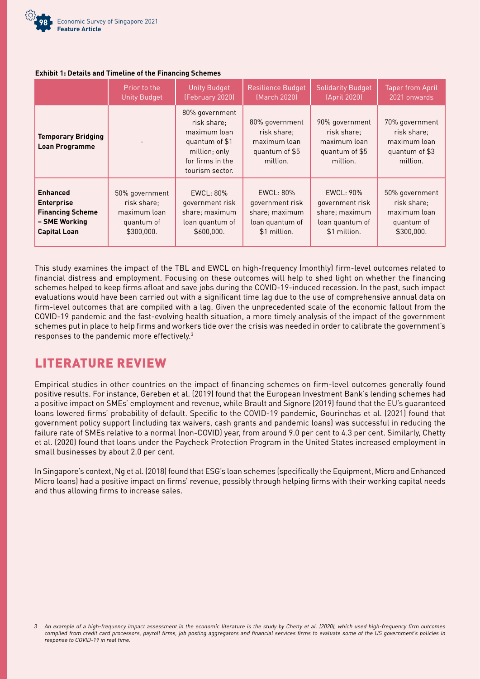

#### **Exhibit 1: Details and Timeline of the Financing Schemes**

|                                                    | Prior to the        | <b>Unity Budget</b>                                                                                                     | Resilience Budget                                                           | <b>Solidarity Budget</b>                                                    | <b>Taper from April</b>                                                     |
|----------------------------------------------------|---------------------|-------------------------------------------------------------------------------------------------------------------------|-----------------------------------------------------------------------------|-----------------------------------------------------------------------------|-----------------------------------------------------------------------------|
|                                                    | <b>Unity Budget</b> | (February 2020)                                                                                                         | (March 2020)                                                                | (April 2020)                                                                | 2021 onwards                                                                |
| <b>Temporary Bridging</b><br><b>Loan Programme</b> |                     | 80% government<br>risk share:<br>maximum loan<br>quantum of \$1<br>million; only<br>for firms in the<br>tourism sector. | 80% government<br>risk share;<br>maximum loan<br>quantum of \$5<br>million. | 90% government<br>risk share;<br>maximum loan<br>quantum of \$5<br>million. | 70% government<br>risk share:<br>maximum loan<br>quantum of \$3<br>million. |
| <b>Enhanced</b>                                    | 50% government      | EWCL: 80%                                                                                                               | EWCL: 80%                                                                   | EWCL: 90%                                                                   | 50% government                                                              |
| <b>Enterprise</b>                                  | risk share:         | government risk                                                                                                         | government risk                                                             | government risk                                                             | risk share:                                                                 |
| <b>Financing Scheme</b>                            | maximum loan        | share; maximum                                                                                                          | share; maximum                                                              | share; maximum                                                              | maximum loan                                                                |
| - SME Working                                      | quantum of          | loan quantum of                                                                                                         | loan quantum of                                                             | loan quantum of                                                             | quantum of                                                                  |
| <b>Capital Loan</b>                                | \$300,000.          | \$600,000.                                                                                                              | \$1 million.                                                                | \$1 million.                                                                | \$300,000.                                                                  |

This study examines the impact of the TBL and EWCL on high-frequency (monthly) firm-level outcomes related to financial distress and employment. Focusing on these outcomes will help to shed light on whether the financing schemes helped to keep firms afloat and save jobs during the COVID-19-induced recession. In the past, such impact evaluations would have been carried out with a significant time lag due to the use of comprehensive annual data on firm-level outcomes that are compiled with a lag. Given the unprecedented scale of the economic fallout from the COVID-19 pandemic and the fast-evolving health situation, a more timely analysis of the impact of the government schemes put in place to help firms and workers tide over the crisis was needed in order to calibrate the government's responses to the pandemic more effectively.3

# LITERATURE REVIEW

Empirical studies in other countries on the impact of financing schemes on firm-level outcomes generally found positive results. For instance, Gereben et al. (2019) found that the European Investment Bank's lending schemes had a positive impact on SMEs' employment and revenue, while Brault and Signore (2019) found that the EU's guaranteed loans lowered firms' probability of default. Specific to the COVID-19 pandemic, Gourinchas et al. (2021) found that government policy support (including tax waivers, cash grants and pandemic loans) was successful in reducing the failure rate of SMEs relative to a normal (non-COVID) year, from around 9.0 per cent to 4.3 per cent. Similarly, Chetty et al. (2020) found that loans under the Paycheck Protection Program in the United States increased employment in small businesses by about 2.0 per cent.

In Singapore's context, Ng et al. (2018) found that ESG's loan schemes (specifically the Equipment, Micro and Enhanced Micro loans) had a positive impact on firms' revenue, possibly through helping firms with their working capital needs and thus allowing firms to increase sales.

<sup>3</sup> An example of a high-frequency impact assessment in the economic literature is the study by Chetty et al. (2020), which used high-frequency firm outcomes compiled from credit card processors, payroll firms, job posting aggregators and financial services firms to evaluate some of the US government's policies in response to COVID-19 in real time.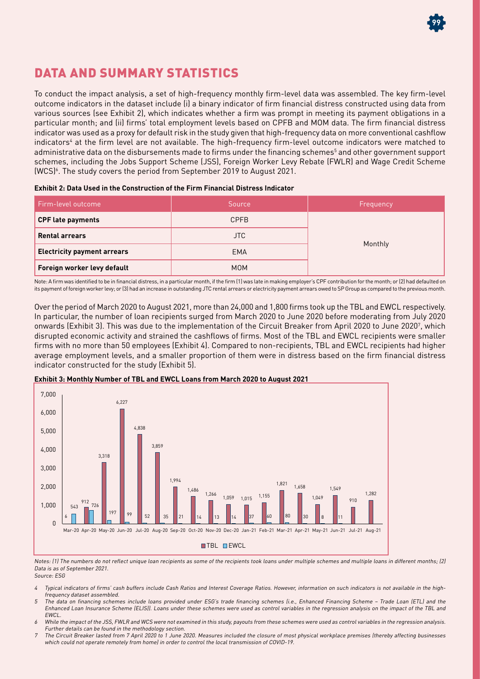

# DATA AND SUMMARY STATISTICS

To conduct the impact analysis, a set of high-frequency monthly firm-level data was assembled. The key firm-level outcome indicators in the dataset include (i) a binary indicator of firm financial distress constructed using data from various sources (see Exhibit 2), which indicates whether a firm was prompt in meeting its payment obligations in a particular month; and (ii) firms' total employment levels based on CPFB and MOM data. The firm financial distress indicator was used as a proxy for default risk in the study given that high-frequency data on more conventional cashflow indicators<sup>4</sup> at the firm level are not available. The high-frequency firm-level outcome indicators were matched to administrative data on the disbursements made to firms under the financing schemes<sup>5</sup> and other government support schemes, including the Jobs Support Scheme (JSS), Foreign Worker Levy Rebate (FWLR) and Wage Credit Scheme (WCS)6 . The study covers the period from September 2019 to August 2021.

|  |  | Exhibit 2: Data Used in the Construction of the Firm Financial Distress Indicator |
|--|--|-----------------------------------------------------------------------------------|
|  |  |                                                                                   |

| Firm-level outcome                 | Source      | Frequency |  |
|------------------------------------|-------------|-----------|--|
| <b>CPF late payments</b>           | <b>CPFB</b> |           |  |
| <b>Rental arrears</b>              | JTC.        |           |  |
| <b>Electricity payment arrears</b> | <b>EMA</b>  | Monthly   |  |
| Foreign worker levy default        | <b>MOM</b>  |           |  |

Note: A firm was identified to be in financial distress, in a particular month, if the firm (1) was late in making employer's CPF contribution for the month; or (2) had defaulted on its payment of foreign worker levy; or (3) had an increase in outstanding JTC rental arrears or electricity payment arrears owed to SP Group as compared to the previous month.

Over the period of March 2020 to August 2021, more than 24,000 and 1,800 firms took up the TBL and EWCL respectively. In particular, the number of loan recipients surged from March 2020 to June 2020 before moderating from July 2020 onwards (Exhibit 3). This was due to the implementation of the Circuit Breaker from April 2020 to June 20207 , which disrupted economic activity and strained the cashflows of firms. Most of the TBL and EWCL recipients were smaller firms with no more than 50 employees (Exhibit 4). Compared to non-recipients, TBL and EWCL recipients had higher average employment levels, and a smaller proportion of them were in distress based on the firm financial distress indicator constructed for the study (Exhibit 5).



**Exhibit 3: Monthly Number of TBL and EWCL Loans from March 2020 to August 2021**

Notes: (1) The numbers do not reflect unique loan recipients as some of the recipients took loans under multiple schemes and multiple loans in different months; (2) Data is as of September 2021.

Source: ESG

- 4 Typical indicators of firms' cash buffers include Cash Ratios and Interest Coverage Ratios. However, information on such indicators is not available in the highfrequency dataset assembled.
- <sup>5</sup> The data on financing schemes include loans provided under ESG's trade financing schemes (i.e., Enhanced Financing Scheme Trade Loan (ETL) and the Enhanced Loan Insurance Scheme (ELIS)). Loans under these schemes were used as control variables in the regression analysis on the impact of the TBL and EWCL.
- 6 While the impact of the JSS, FWLR and WCS were not examined in this study, payouts from these schemes were used as control variables in the regression analysis. Further details can be found in the methodology section.
- <sup>7</sup> The Circuit Breaker lasted from 7 April 2020 to 1 June 2020. Measures included the closure of most physical workplace premises (thereby affecting businesses which could not operate remotely from home) in order to control the local transmission of COVID-19.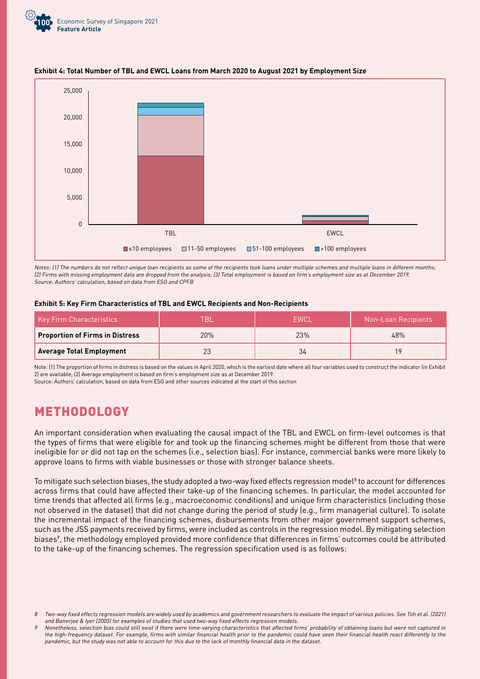



#### **Exhibit 4: Total Number of TBL and EWCL Loans from March 2020 to August 2021 by Employment Size**

Notes: (1) The numbers do not reflect unique loan recipients as some of the recipients took loans under multiple schemes and multiple loans in different months; (2) Firms with missing employment data are dropped from the analysis; (3) Total employment is based on firm's employment size as at December 2019. Source: Authors' calculation, based on data from ESG and CPFB

#### **Exhibit 5: Key Firm Characteristics of TBL and EWCL Recipients and Non-Recipients**

| Key Firm Characteristics               | -RI | <b>FWCL</b> | Non-Loan Recipients |
|----------------------------------------|-----|-------------|---------------------|
| <b>Proportion of Firms in Distress</b> | 20% | 23%         | 48%                 |
| <b>Average Total Employment</b>        |     | 34          | 19                  |

Note: (1) The proportion of firms in distress is based on the values in April 2020, which is the earliest date where all four variables used to construct the indicator (in Exhibit 2) are available; (2) Average employment is based on firm's employment size as at December 2019.

Source: Authors' calculation, based on data from ESG and other sources indicated at the start of this section

## METHODOLOGY

An important consideration when evaluating the causal impact of the TBL and EWCL on firm-level outcomes is that the types of firms that were eligible for and took up the financing schemes might be different from those that were ineligible for or did not tap on the schemes (i.e., selection bias). For instance, commercial banks were more likely to approve loans to firms with viable businesses or those with stronger balance sheets.

To mitigate such selection biases, the study adopted a two-way fixed effects regression model $^8$  to account for differences across firms that could have affected their take-up of the financing schemes. In particular, the model accounted for time trends that affected all firms (e.g., macroeconomic conditions) and unique firm characteristics (including those not observed in the dataset) that did not change during the period of study (e.g., firm managerial culture). To isolate the incremental impact of the financing schemes, disbursements from other major government support schemes, such as the JSS payments received by firms, were included as controls in the regression model. By mitigating selection biases<sup>9</sup>, the methodology employed provided more confidence that differences in firms' outcomes could be attributed to the take-up of the financing schemes. The regression specification used is as follows:

<sup>8</sup> Two-way fixed effects regression models are widely used by academics and government researchers to evaluate the impact of various policies. See Toh et al. (2021) and Banerjee & Iyer (2005) for examples of studies that used two-way fixed effects regression models.

Nonetheless, selection bias could still exist if there were time-varying characteristics that affected firms' probability of obtaining loans but were not captured in the high-frequency dataset. For example, firms with similar financial health prior to the pandemic could have seen their financial health react differently to the pandemic, but the study was not able to account for this due to the lack of monthly financial data in the dataset.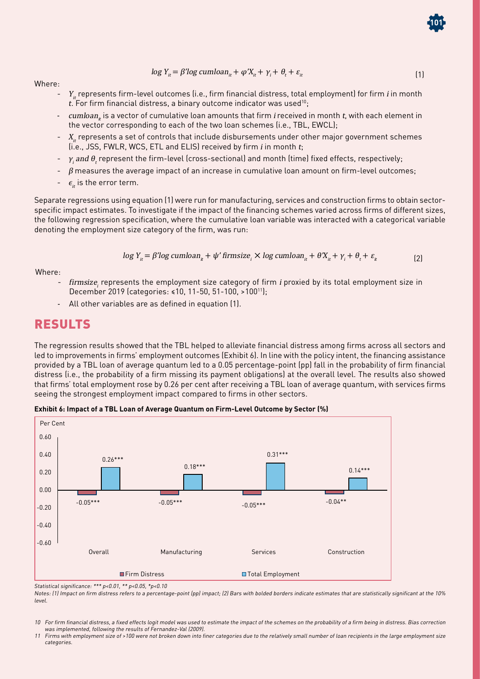$$
\log Y_{it} = \beta' \log \text{cumloan}_{it} + \varphi' X_{it} + \gamma_i + \theta_t + \varepsilon_{it}
$$
\n<sup>(1)</sup>

**101**

Where:

- $Y<sub>n</sub>$  represents firm-level outcomes (i.e., firm financial distress, total employment) for firm *i* in month  $t$ . For firm financial distress, a binary outcome indicator was used<sup>10</sup>;
- cumloanit is a vector of cumulative loan amounts that firm i received in month t, with each element in the vector corresponding to each of the two loan schemes (i.e., TBL, EWCL);
- $X_{it}$  represents a set of controls that include disbursements under other major government schemes  $(i.e., JSS, FWLR, WCS, ETL and ELIS)$  received by firm *i* in month  $t_i$
- $\gamma$ , and  $\theta$ , represent the firm-level (cross-sectional) and month (time) fixed effects, respectively;
- $\beta$  measures the average impact of an increase in cumulative loan amount on firm-level outcomes;
- $\epsilon_{it}$  is the error term.

Separate regressions using equation (1) were run for manufacturing, services and construction firms to obtain sectorspecific impact estimates. To investigate if the impact of the financing schemes varied across firms of different sizes, the following regression specification, where the cumulative loan variable was interacted with a categorical variable denoting the employment size category of the firm, was run:

$$
\log Y_{it} = \beta' \log \text{cumloan}_{it} + \psi' \text{ firmsize}_{i} \times \log \text{cumloan}_{it} + \theta' X_{it} + \gamma_{i} + \theta_{t} + \varepsilon_{it}
$$
 (2)

Where:

- firmsize, represents the employment size category of firm i proxied by its total employment size in December 2019 (categories: ≤10, 11-50, 51-100, >10011);
- All other variables are as defined in equation (1).

### RESULTS

The regression results showed that the TBL helped to alleviate financial distress among firms across all sectors and led to improvements in firms' employment outcomes (Exhibit 6). In line with the policy intent, the financing assistance provided by a TBL loan of average quantum led to a 0.05 percentage-point (pp) fall in the probability of firm financial distress (i.e., the probability of a firm missing its payment obligations) at the overall level. The results also showed that firms' total employment rose by 0.26 per cent after receiving a TBL loan of average quantum, with services firms seeing the strongest employment impact compared to firms in other sectors.



**Exhibit 6: Impact of a TBL Loan of Average Quantum on Firm-Level Outcome by Sector (%)**

Statistical significance: \*\*\* p<0.01, \*\* p<0.05, \*p<0.10

Notes: (1) Impact on firm distress refers to a percentage-point (pp) impact; (2) Bars with bolded borders indicate estimates that are statistically significant at the 10% level.

10 For firm financial distress, a fixed effects logit model was used to estimate the impact of the schemes on the probability of a firm being in distress. Bias correction was implemented, following the results of Fernandez-Val (2009).

11 Firms with employment size of >100 were not broken down into finer categories due to the relatively small number of loan recipients in the large employment size categories.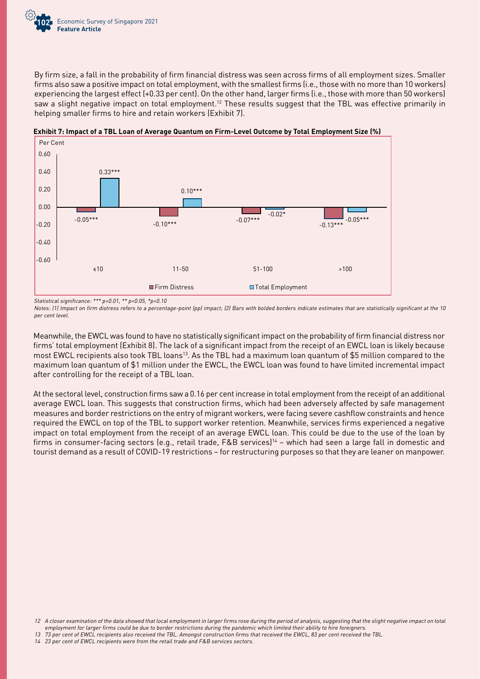

By firm size, a fall in the probability of firm financial distress was seen across firms of all employment sizes. Smaller firms also saw a positive impact on total employment, with the smallest firms (i.e., those with no more than 10 workers) experiencing the largest effect (+0.33 per cent). On the other hand, larger firms (i.e., those with more than 50 workers) saw a slight negative impact on total employment.<sup>12</sup> These results suggest that the TBL was effective primarily in helping smaller firms to hire and retain workers (Exhibit 7).



**Exhibit 7: Impact of a TBL Loan of Average Quantum on Firm-Level Outcome by Total Employment Size (%)**

Statistical significance: \*\*\* p<0.01, \*\* p<0.05, \*p<0.10

Notes: (1) Impact on firm distress refers to a percentage-point (pp) impact; (2) Bars with bolded borders indicate estimates that are statistically significant at the 10 per cent level.

Meanwhile, the EWCL was found to have no statistically significant impact on the probability of firm financial distress nor firms' total employment (Exhibit 8). The lack of a significant impact from the receipt of an EWCL loan is likely because most EWCL recipients also took TBL loans<sup>13</sup>. As the TBL had a maximum loan quantum of \$5 million compared to the maximum loan quantum of \$1 million under the EWCL, the EWCL loan was found to have limited incremental impact after controlling for the receipt of a TBL loan.

At the sectoral level, construction firms saw a 0.16 per cent increase in total employment from the receipt of an additional average EWCL loan. This suggests that construction firms, which had been adversely affected by safe management measures and border restrictions on the entry of migrant workers, were facing severe cashflow constraints and hence required the EWCL on top of the TBL to support worker retention. Meanwhile, services firms experienced a negative impact on total employment from the receipt of an average EWCL loan. This could be due to the use of the loan by firms in consumer-facing sectors (e.g., retail trade, F&B services)<sup>14</sup> – which had seen a large fall in domestic and tourist demand as a result of COVID-19 restrictions – for restructuring purposes so that they are leaner on manpower.

<sup>12</sup> A closer examination of the data showed that local employment in larger firms rose during the period of analysis, suggesting that the slight negative impact on total employment for larger firms could be due to border restrictions during the pandemic which limited their ability to hire foreigners.

<sup>13</sup> 73 per cent of EWCL recipients also received the TBL. Amongst construction firms that received the EWCL, 83 per cent received the TBL.

<sup>14</sup> 23 per cent of EWCL recipients were from the retail trade and F&B services sectors.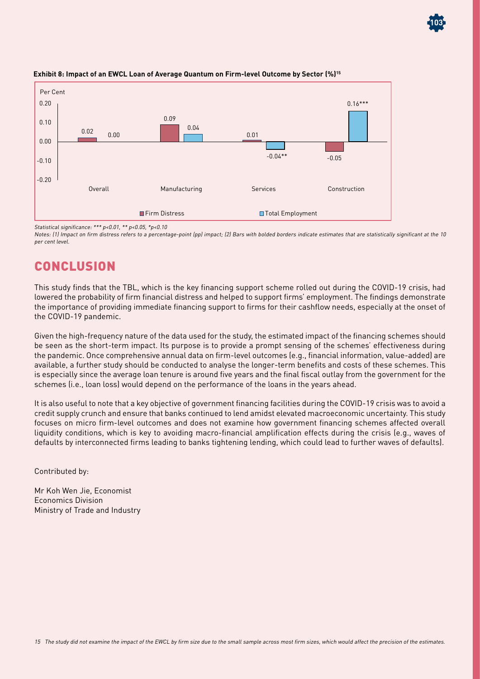

#### **Exhibit 8: Impact of an EWCL Loan of Average Quantum on Firm-level Outcome by Sector (%)15**

Statistical significance: \*\*\* p<0.01, \*\* p<0.05, \*p<0.10

Notes: (1) Impact on firm distress refers to a percentage-point (pp) impact; (2) Bars with bolded borders indicate estimates that are statistically significant at the 10 per cent level.

**103**

## **CONCLUSION**

This study finds that the TBL, which is the key financing support scheme rolled out during the COVID-19 crisis, had lowered the probability of firm financial distress and helped to support firms' employment. The findings demonstrate the importance of providing immediate financing support to firms for their cashflow needs, especially at the onset of the COVID-19 pandemic.

Given the high-frequency nature of the data used for the study, the estimated impact of the financing schemes should be seen as the short-term impact. Its purpose is to provide a prompt sensing of the schemes' effectiveness during the pandemic. Once comprehensive annual data on firm-level outcomes (e.g., financial information, value-added) are available, a further study should be conducted to analyse the longer-term benefits and costs of these schemes. This is especially since the average loan tenure is around five years and the final fiscal outlay from the government for the schemes (i.e., loan loss) would depend on the performance of the loans in the years ahead.

It is also useful to note that a key objective of government financing facilities during the COVID-19 crisis was to avoid a credit supply crunch and ensure that banks continued to lend amidst elevated macroeconomic uncertainty. This study focuses on micro firm-level outcomes and does not examine how government financing schemes affected overall liquidity conditions, which is key to avoiding macro-financial amplification effects during the crisis (e.g., waves of defaults by interconnected firms leading to banks tightening lending, which could lead to further waves of defaults).

Contributed by:

Mr Koh Wen Jie, Economist Economics Division Ministry of Trade and Industry